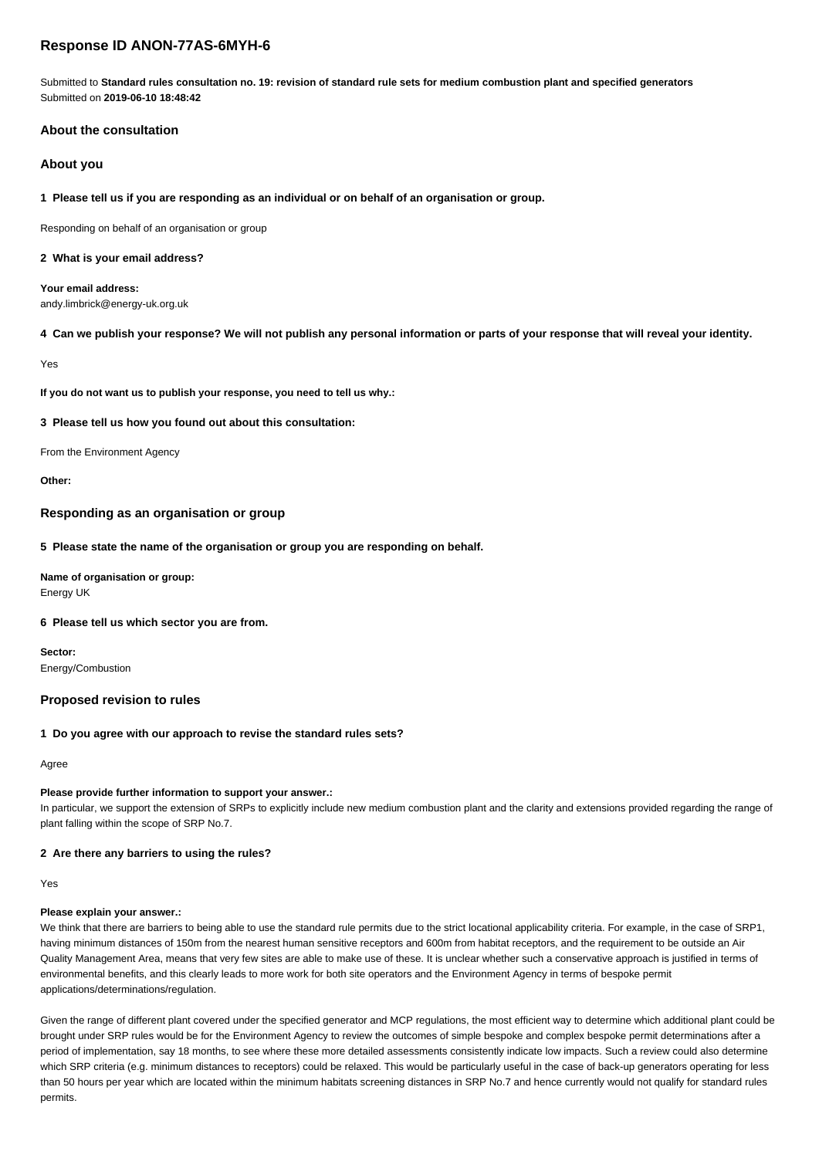# **Response ID ANON-77AS-6MYH-6**

Submitted to **Standard rules consultation no. 19: revision of standard rule sets for medium combustion plant and specified generators** Submitted on **2019-06-10 18:48:42**

## **About the consultation**

## **About you**

## **1 Please tell us if you are responding as an individual or on behalf of an organisation or group.**

Responding on behalf of an organisation or group

#### **2 What is your email address?**

**Your email address:** andy.limbrick@energy-uk.org.uk

## **4 Can we publish your response? We will not publish any personal information or parts of your response that will reveal your identity.**

Yes

**If you do not want us to publish your response, you need to tell us why.:**

## **3 Please tell us how you found out about this consultation:**

From the Environment Agency

**Other:**

## **Responding as an organisation or group**

#### **5 Please state the name of the organisation or group you are responding on behalf.**

**Name of organisation or group:** Energy UK

## **6 Please tell us which sector you are from.**

**Sector:** Energy/Combustion

## **Proposed revision to rules**

#### **1 Do you agree with our approach to revise the standard rules sets?**

Agree

#### **Please provide further information to support your answer.:**

In particular, we support the extension of SRPs to explicitly include new medium combustion plant and the clarity and extensions provided regarding the range of plant falling within the scope of SRP No.7.

## **2 Are there any barriers to using the rules?**

Yes

#### **Please explain your answer.:**

We think that there are barriers to being able to use the standard rule permits due to the strict locational applicability criteria. For example, in the case of SRP1, having minimum distances of 150m from the nearest human sensitive receptors and 600m from habitat receptors, and the requirement to be outside an Air Quality Management Area, means that very few sites are able to make use of these. It is unclear whether such a conservative approach is justified in terms of environmental benefits, and this clearly leads to more work for both site operators and the Environment Agency in terms of bespoke permit applications/determinations/regulation.

Given the range of different plant covered under the specified generator and MCP regulations, the most efficient way to determine which additional plant could be brought under SRP rules would be for the Environment Agency to review the outcomes of simple bespoke and complex bespoke permit determinations after a period of implementation, say 18 months, to see where these more detailed assessments consistently indicate low impacts. Such a review could also determine which SRP criteria (e.g. minimum distances to receptors) could be relaxed. This would be particularly useful in the case of back-up generators operating for less than 50 hours per year which are located within the minimum habitats screening distances in SRP No.7 and hence currently would not qualify for standard rules permits.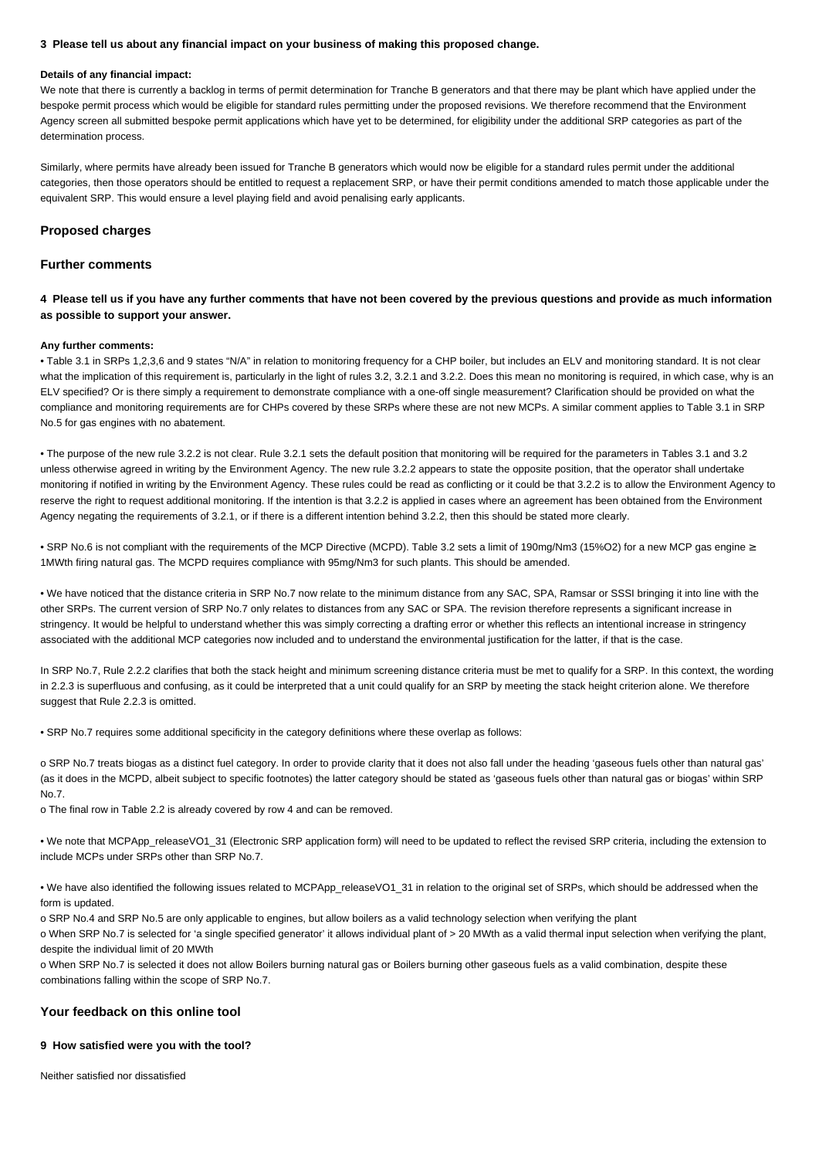#### **3 Please tell us about any financial impact on your business of making this proposed change.**

#### **Details of any financial impact:**

We note that there is currently a backlog in terms of permit determination for Tranche B generators and that there may be plant which have applied under the bespoke permit process which would be eligible for standard rules permitting under the proposed revisions. We therefore recommend that the Environment Agency screen all submitted bespoke permit applications which have yet to be determined, for eligibility under the additional SRP categories as part of the determination process.

Similarly, where permits have already been issued for Tranche B generators which would now be eligible for a standard rules permit under the additional categories, then those operators should be entitled to request a replacement SRP, or have their permit conditions amended to match those applicable under the equivalent SRP. This would ensure a level playing field and avoid penalising early applicants.

## **Proposed charges**

## **Further comments**

**4 Please tell us if you have any further comments that have not been covered by the previous questions and provide as much information as possible to support your answer.**

#### **Any further comments:**

• Table 3.1 in SRPs 1,2,3,6 and 9 states "N/A" in relation to monitoring frequency for a CHP boiler, but includes an ELV and monitoring standard. It is not clear what the implication of this requirement is, particularly in the light of rules 3.2, 3.2.1 and 3.2.2. Does this mean no monitoring is required, in which case, why is an ELV specified? Or is there simply a requirement to demonstrate compliance with a one-off single measurement? Clarification should be provided on what the compliance and monitoring requirements are for CHPs covered by these SRPs where these are not new MCPs. A similar comment applies to Table 3.1 in SRP No.5 for gas engines with no abatement.

• The purpose of the new rule 3.2.2 is not clear. Rule 3.2.1 sets the default position that monitoring will be required for the parameters in Tables 3.1 and 3.2 unless otherwise agreed in writing by the Environment Agency. The new rule 3.2.2 appears to state the opposite position, that the operator shall undertake monitoring if notified in writing by the Environment Agency. These rules could be read as conflicting or it could be that 3.2.2 is to allow the Environment Agency to reserve the right to request additional monitoring. If the intention is that 3.2.2 is applied in cases where an agreement has been obtained from the Environment Agency negating the requirements of 3.2.1, or if there is a different intention behind 3.2.2, then this should be stated more clearly.

• SRP No.6 is not compliant with the requirements of the MCP Directive (MCPD). Table 3.2 sets a limit of 190mg/Nm3 (15%O2) for a new MCP gas engine ≥ 1MWth firing natural gas. The MCPD requires compliance with 95mg/Nm3 for such plants. This should be amended.

• We have noticed that the distance criteria in SRP No.7 now relate to the minimum distance from any SAC, SPA, Ramsar or SSSI bringing it into line with the other SRPs. The current version of SRP No.7 only relates to distances from any SAC or SPA. The revision therefore represents a significant increase in stringency. It would be helpful to understand whether this was simply correcting a drafting error or whether this reflects an intentional increase in stringency associated with the additional MCP categories now included and to understand the environmental justification for the latter, if that is the case.

In SRP No.7, Rule 2.2.2 clarifies that both the stack height and minimum screening distance criteria must be met to qualify for a SRP. In this context, the wording in 2.2.3 is superfluous and confusing, as it could be interpreted that a unit could qualify for an SRP by meeting the stack height criterion alone. We therefore suggest that Rule 2.2.3 is omitted.

• SRP No.7 requires some additional specificity in the category definitions where these overlap as follows:

o SRP No.7 treats biogas as a distinct fuel category. In order to provide clarity that it does not also fall under the heading 'gaseous fuels other than natural gas' (as it does in the MCPD, albeit subject to specific footnotes) the latter category should be stated as 'gaseous fuels other than natural gas or biogas' within SRP No.7.

o The final row in Table 2.2 is already covered by row 4 and can be removed.

• We note that MCPApp\_releaseVO1\_31 (Electronic SRP application form) will need to be updated to reflect the revised SRP criteria, including the extension to include MCPs under SRPs other than SRP No.7.

• We have also identified the following issues related to MCPApp\_releaseVO1\_31 in relation to the original set of SRPs, which should be addressed when the form is updated.

o SRP No.4 and SRP No.5 are only applicable to engines, but allow boilers as a valid technology selection when verifying the plant

o When SRP No.7 is selected for 'a single specified generator' it allows individual plant of > 20 MWth as a valid thermal input selection when verifying the plant, despite the individual limit of 20 MWth

o When SRP No.7 is selected it does not allow Boilers burning natural gas or Boilers burning other gaseous fuels as a valid combination, despite these combinations falling within the scope of SRP No.7.

## **Your feedback on this online tool**

## **9 How satisfied were you with the tool?**

Neither satisfied nor dissatisfied